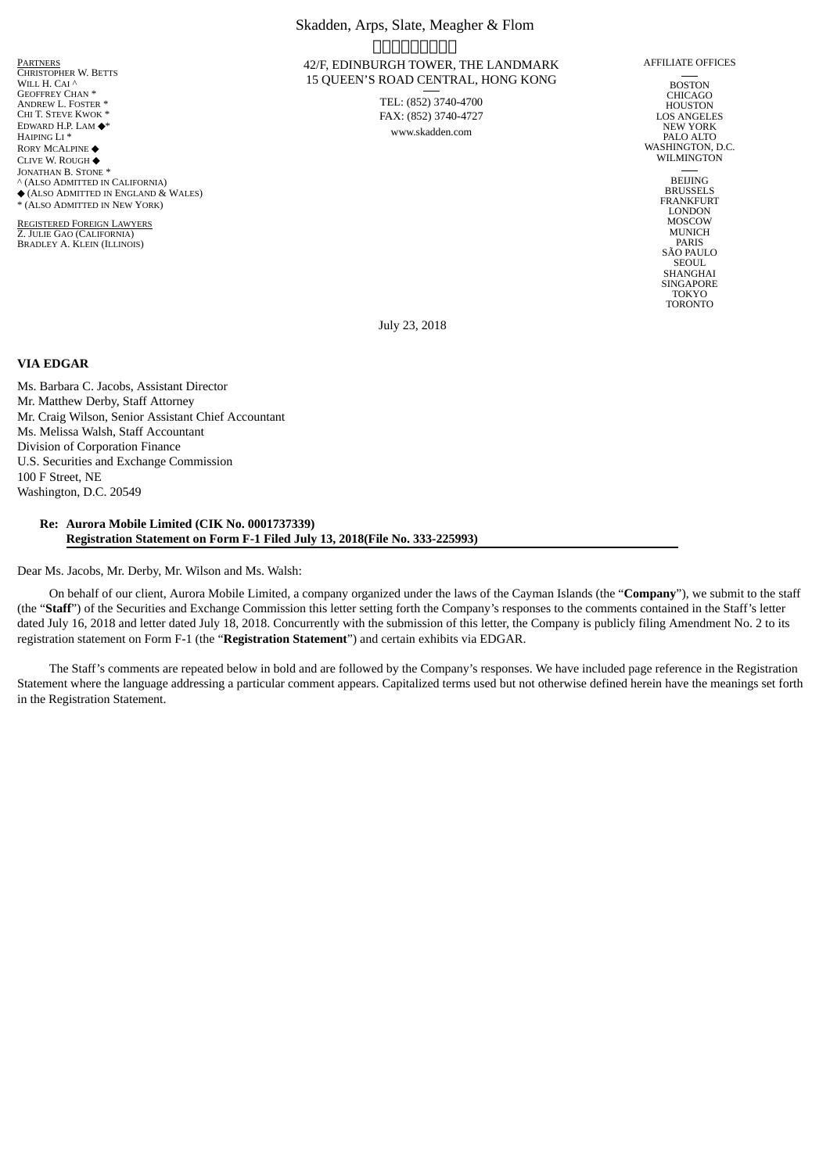**PARTNERS** CHRISTOPHER W. BETTS WILL H. CAI ^ GEOFFREY CHAN \* ANDREW L. FOSTER \* CHI T. STEVE KWOK \* EDWARD H.P. LAM ◆\* HAIPING LI \* RORY MCALPINE ◆ CLIVE W. ROUGH ◆ JONATHAN B. STONE<sup>\*</sup> ^ (ALSO ADMITTED IN CALIFORNIA) ◆ (ALSO ADMITTED IN ENGLAND & WALES) \* (ALSO ADMITTED IN NEW YORK)

REGISTERED FOREIGN LAWYERS Z. JULIE GAO (CALIFORNIA) BRADLEY A. KLEIN (ILLINOIS)

# Skadden, Arps, Slate, Meagher & Flom <u>FINNALLINUM T</u> 42/F, EDINBURGH TOWER, THE LANDMARK 15 QUEEN'S ROAD CENTRAL, HONG KONG

TEL: (852) 3740-4700 FAX: (852) 3740-4727 www.skadden.com

AFFILIATE OFFICES

BOSTON CHICAGO **HOUSTON** LOS ANGELES NEW YORK PALO ALTO WASHINGTON, D.C. WILMINGTON

> BEIJING BRUSSELS **FRANKFURT** LONDON MOSCOW MUNICH PARIS SÃO PAULO SEOUL SHANGHAI SINGAPORE TOKYO TORONTO

July 23, 2018

## **VIA EDGAR**

Ms. Barbara C. Jacobs, Assistant Director Mr. Matthew Derby, Staff Attorney Mr. Craig Wilson, Senior Assistant Chief Accountant Ms. Melissa Walsh, Staff Accountant Division of Corporation Finance U.S. Securities and Exchange Commission 100 F Street, NE Washington, D.C. 20549

#### **Re: Aurora Mobile Limited (CIK No. 0001737339) Registration Statement on Form F-1 Filed July 13, 2018(File No. 333-225993)**

Dear Ms. Jacobs, Mr. Derby, Mr. Wilson and Ms. Walsh:

On behalf of our client, Aurora Mobile Limited, a company organized under the laws of the Cayman Islands (the "**Company**"), we submit to the staff (the "**Staff**") of the Securities and Exchange Commission this letter setting forth the Company's responses to the comments contained in the Staff's letter dated July 16, 2018 and letter dated July 18, 2018. Concurrently with the submission of this letter, the Company is publicly filing Amendment No. 2 to its registration statement on Form F-1 (the "**Registration Statement**") and certain exhibits via EDGAR.

The Staff's comments are repeated below in bold and are followed by the Company's responses. We have included page reference in the Registration Statement where the language addressing a particular comment appears. Capitalized terms used but not otherwise defined herein have the meanings set forth in the Registration Statement.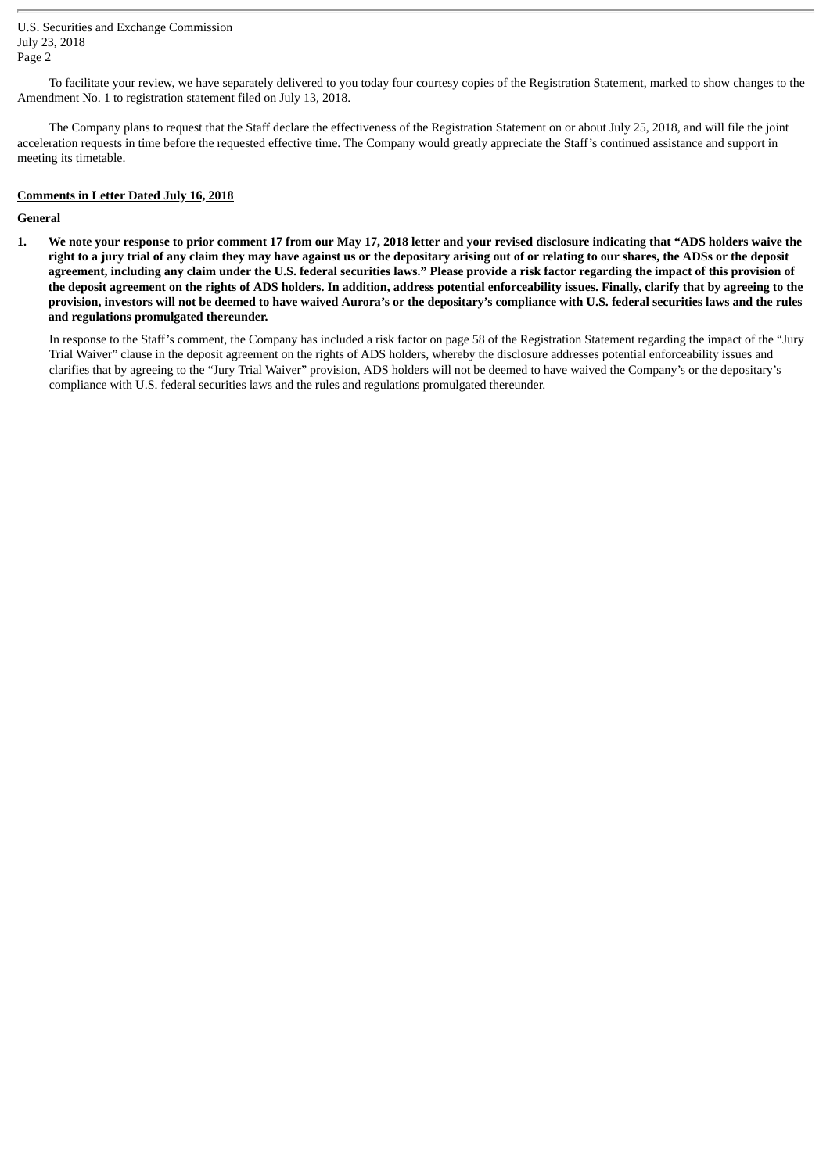U.S. Securities and Exchange Commission July 23, 2018 Page 2

To facilitate your review, we have separately delivered to you today four courtesy copies of the Registration Statement, marked to show changes to the Amendment No. 1 to registration statement filed on July 13, 2018.

The Company plans to request that the Staff declare the effectiveness of the Registration Statement on or about July 25, 2018, and will file the joint acceleration requests in time before the requested effective time. The Company would greatly appreciate the Staff's continued assistance and support in meeting its timetable.

## **Comments in Letter Dated July 16, 2018**

### **General**

1. We note your response to prior comment 17 from our May 17, 2018 letter and your revised disclosure indicating that "ADS holders waive the right to a jury trial of any claim they may have against us or the depositary arising out of or relating to our shares, the ADSs or the deposit agreement, including any claim under the U.S. federal securities laws." Please provide a risk factor regarding the impact of this provision of the deposit agreement on the rights of ADS holders. In addition, address potential enforceability issues. Finally, clarify that by agreeing to the provision, investors will not be deemed to have waived Aurora's or the depositary's compliance with U.S. federal securities laws and the rules **and regulations promulgated thereunder.**

In response to the Staff's comment, the Company has included a risk factor on page 58 of the Registration Statement regarding the impact of the "Jury Trial Waiver" clause in the deposit agreement on the rights of ADS holders, whereby the disclosure addresses potential enforceability issues and clarifies that by agreeing to the "Jury Trial Waiver" provision, ADS holders will not be deemed to have waived the Company's or the depositary's compliance with U.S. federal securities laws and the rules and regulations promulgated thereunder.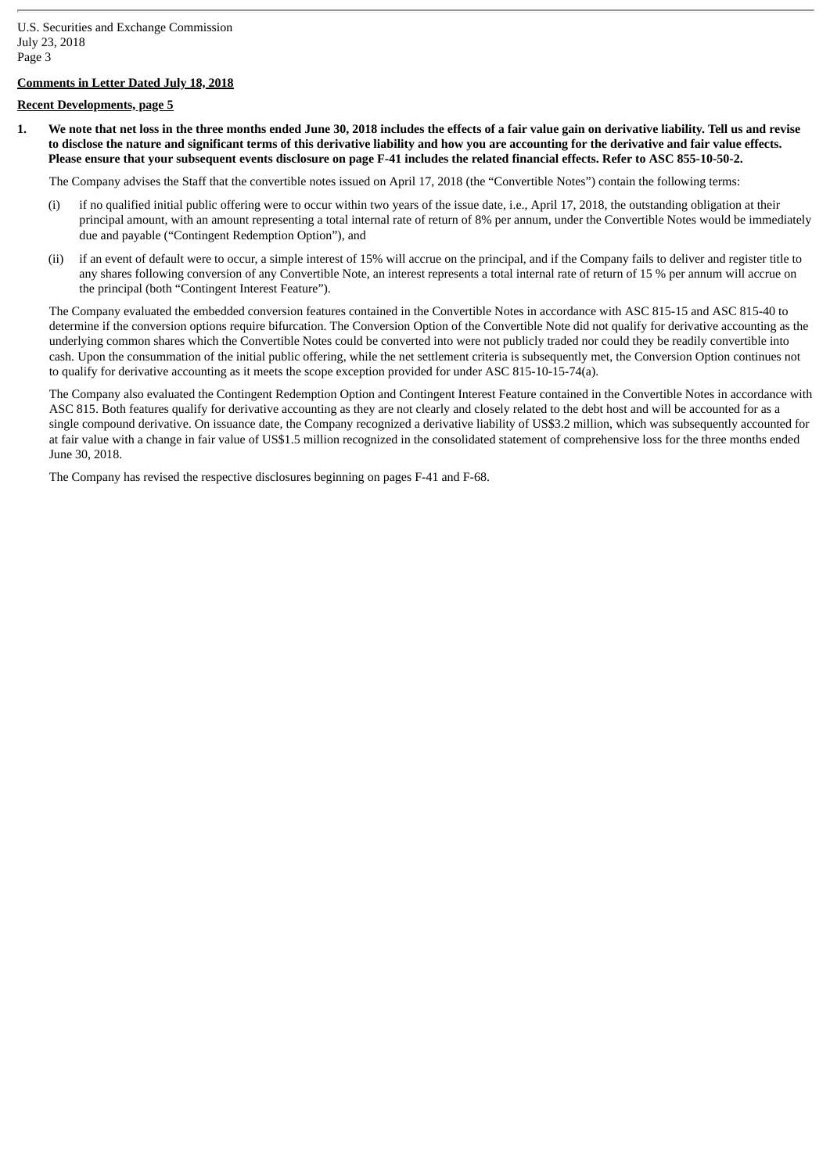## **Comments in Letter Dated July 18, 2018**

## **Recent Developments, page 5**

1. We note that net loss in the three months ended June 30, 2018 includes the effects of a fair value gain on derivative liability. Tell us and revise to disclose the nature and significant terms of this derivative liability and how you are accounting for the derivative and fair value effects. Please ensure that your subsequent events disclosure on page F-41 includes the related financial effects. Refer to ASC 855-10-50-2.

The Company advises the Staff that the convertible notes issued on April 17, 2018 (the "Convertible Notes") contain the following terms:

- (i) if no qualified initial public offering were to occur within two years of the issue date, i.e., April 17, 2018, the outstanding obligation at their principal amount, with an amount representing a total internal rate of return of 8% per annum, under the Convertible Notes would be immediately due and payable ("Contingent Redemption Option"), and
- (ii) if an event of default were to occur, a simple interest of 15% will accrue on the principal, and if the Company fails to deliver and register title to any shares following conversion of any Convertible Note, an interest represents a total internal rate of return of 15 % per annum will accrue on the principal (both "Contingent Interest Feature").

The Company evaluated the embedded conversion features contained in the Convertible Notes in accordance with ASC 815-15 and ASC 815-40 to determine if the conversion options require bifurcation. The Conversion Option of the Convertible Note did not qualify for derivative accounting as the underlying common shares which the Convertible Notes could be converted into were not publicly traded nor could they be readily convertible into cash. Upon the consummation of the initial public offering, while the net settlement criteria is subsequently met, the Conversion Option continues not to qualify for derivative accounting as it meets the scope exception provided for under ASC 815-10-15-74(a).

The Company also evaluated the Contingent Redemption Option and Contingent Interest Feature contained in the Convertible Notes in accordance with ASC 815. Both features qualify for derivative accounting as they are not clearly and closely related to the debt host and will be accounted for as a single compound derivative. On issuance date, the Company recognized a derivative liability of US\$3.2 million, which was subsequently accounted for at fair value with a change in fair value of US\$1.5 million recognized in the consolidated statement of comprehensive loss for the three months ended June 30, 2018.

The Company has revised the respective disclosures beginning on pages F-41 and F-68.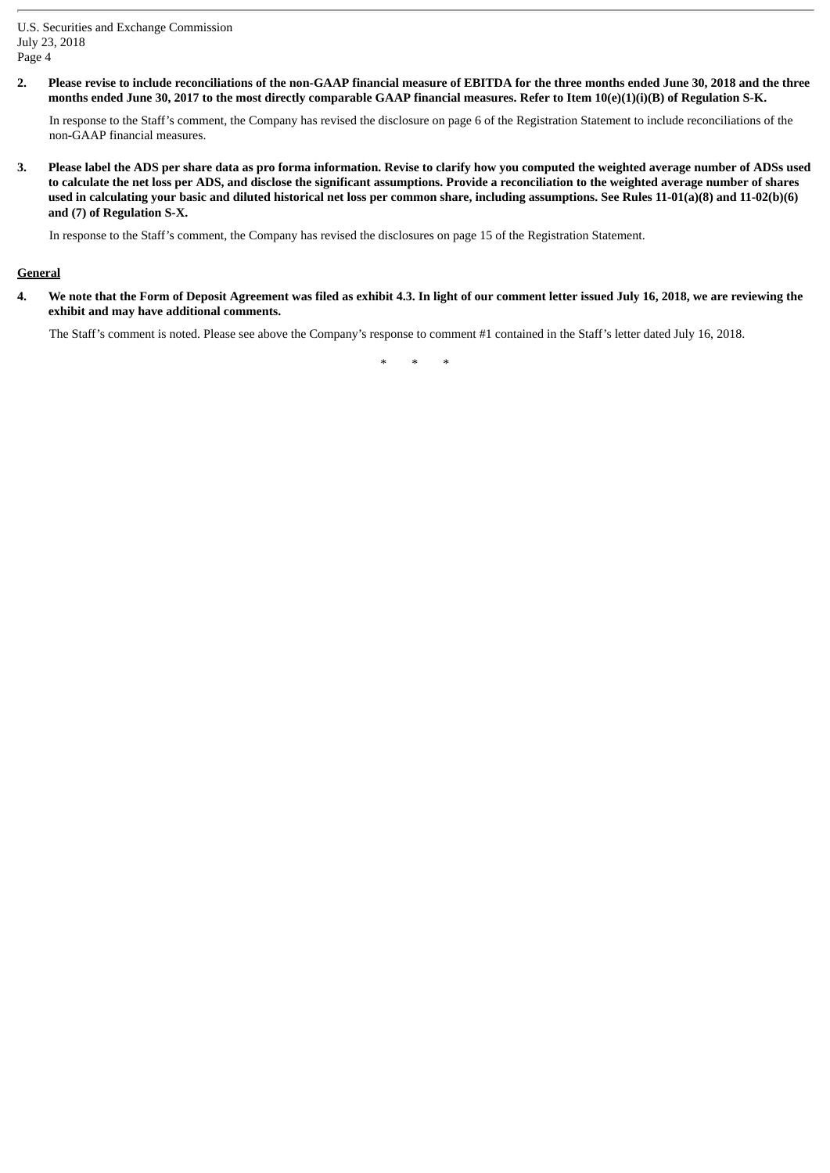U.S. Securities and Exchange Commission July 23, 2018 Page 4

2. Please revise to include reconciliations of the non-GAAP financial measure of EBITDA for the three months ended June 30, 2018 and the three months ended June 30, 2017 to the most directly comparable GAAP financial measures. Refer to Item 10(e)(1)(i)(B) of Regulation S-K.

In response to the Staff's comment, the Company has revised the disclosure on page 6 of the Registration Statement to include reconciliations of the non-GAAP financial measures.

3. Please label the ADS per share data as pro forma information. Revise to clarify how you computed the weighted average number of ADSs used to calculate the net loss per ADS, and disclose the significant assumptions. Provide a reconciliation to the weighted average number of shares used in calculating your basic and diluted historical net loss per common share, including assumptions. See Rules 11-01(a)(8) and 11-02(b)(6) **and (7) of Regulation S-X.**

In response to the Staff's comment, the Company has revised the disclosures on page 15 of the Registration Statement.

### **General**

4. We note that the Form of Deposit Agreement was filed as exhibit 4.3. In light of our comment letter issued July 16, 2018, we are reviewing the **exhibit and may have additional comments.**

The Staff's comment is noted. Please see above the Company's response to comment #1 contained in the Staff's letter dated July 16, 2018.

\* \* \*